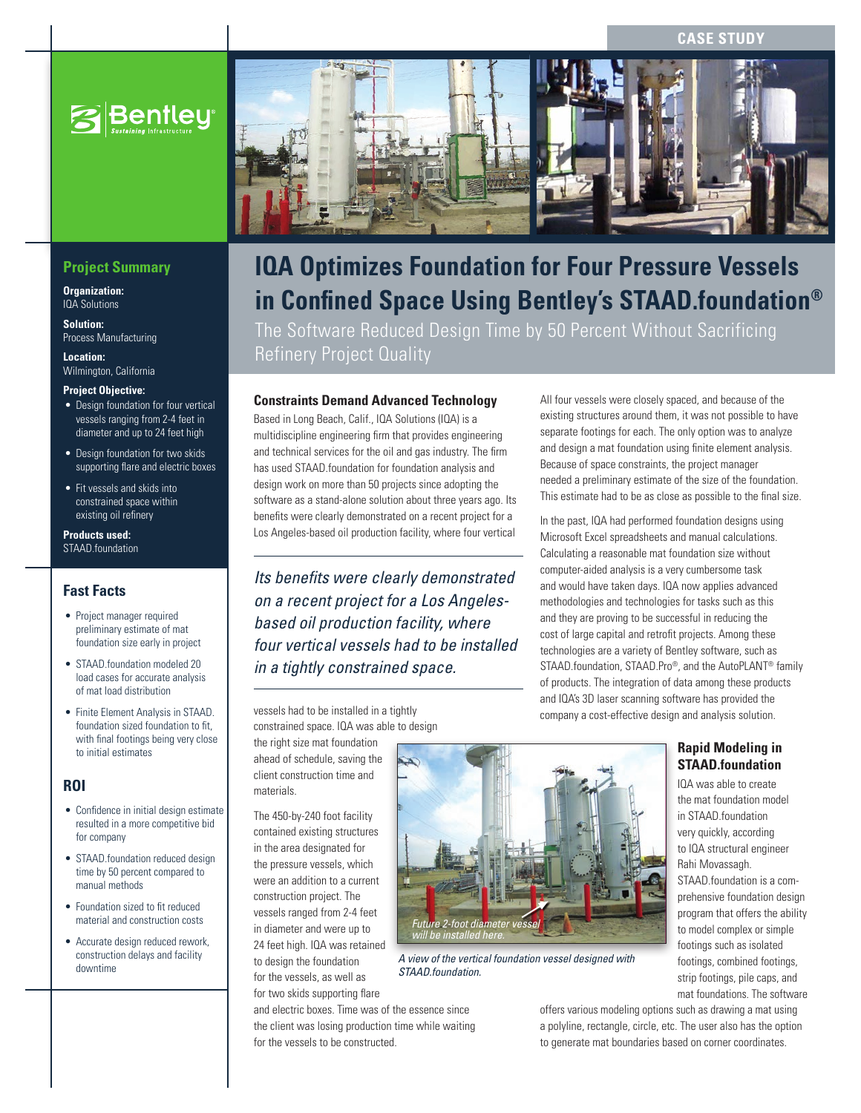**CASE STUDY**



# **Project Summary**

**Organization:**  IQA Solutions

**Solution:**  Process Manufacturing

**Location:**  Wilmington, California

### **Project Objective:**

- Design foundation for four vertical vessels ranging from 2-4 feet in diameter and up to 24 feet high
- Design foundation for two skids supporting flare and electric boxes
- • Fit vessels and skids into constrained space within existing oil refinery

**Products used:** STAAD.foundation

## **Fast Facts**

- Project manager required preliminary estimate of mat foundation size early in project
- STAAD.foundation modeled 20 load cases for accurate analysis of mat load distribution
- • Finite Element Analysis in STAAD. foundation sized foundation to fit, with final footings being very close to initial estimates

## **ROI**

- • Confidence in initial design estimate resulted in a more competitive bid for company
- STAAD foundation reduced design time by 50 percent compared to manual methods
- Foundation sized to fit reduced material and construction costs
- Accurate design reduced rework, construction delays and facility downtime



# **IQA Optimizes Foundation for Four Pressure Vessels in Confined Space Using Bentley's STAAD.foundation®**

The Software Reduced Design Time by 50 Percent Without Sacrificing Refinery Project Quality

# **Constraints Demand Advanced Technology**

Based in Long Beach, Calif., IQA Solutions (IQA) is a multidiscipline engineering firm that provides engineering and technical services for the oil and gas industry. The firm has used STAAD.foundation for foundation analysis and design work on more than 50 projects since adopting the software as a stand-alone solution about three years ago. Its benefits were clearly demonstrated on a recent project for a Los Angeles-based oil production facility, where four vertical

*Its benefits were clearly demonstrated on a recent project for a Los Angelesbased oil production facility, where four vertical vessels had to be installed in a tightly constrained space.*

vessels had to be installed in a tightly constrained space. IQA was able to design

the right size mat foundation ahead of schedule, saving the client construction time and

The 450-by-240 foot facility contained existing structures in the area designated for the pressure vessels, which were an addition to a current construction project. The vessels ranged from 2-4 feet in diameter and were up to 24 feet high. IQA was retained to design the foundation for the vessels, as well as

materials.

All four vessels were closely spaced, and because of the existing structures around them, it was not possible to have separate footings for each. The only option was to analyze and design a mat foundation using finite element analysis. Because of space constraints, the project manager needed a preliminary estimate of the size of the foundation. This estimate had to be as close as possible to the final size.

In the past, IQA had performed foundation designs using Microsoft Excel spreadsheets and manual calculations. Calculating a reasonable mat foundation size without computer-aided analysis is a very cumbersome task and would have taken days. IQA now applies advanced methodologies and technologies for tasks such as this and they are proving to be successful in reducing the cost of large capital and retrofit projects. Among these technologies are a variety of Bentley software, such as STAAD.foundation, STAAD.Pro®, and the AutoPLANT® family of products. The integration of data among these products and IQA's 3D laser scanning software has provided the company a cost-effective design and analysis solution.

# **Rapid Modeling in STAAD.foundation**

IQA was able to create the mat foundation model in STAAD.foundation very quickly, according to IQA structural engineer Rahi Movassagh. STAAD.foundation is a comprehensive foundation design program that offers the ability to model complex or simple footings such as isolated footings, combined footings, strip footings, pile caps, and mat foundations. The software

for two skids supporting flare and electric boxes. Time was of the essence since the client was losing production time while waiting for the vessels to be constructed.



*A view of the vertical foundation vessel designed with STAAD.foundation.*

offers various modeling options such as drawing a mat using a polyline, rectangle, circle, etc. The user also has the option to generate mat boundaries based on corner coordinates.